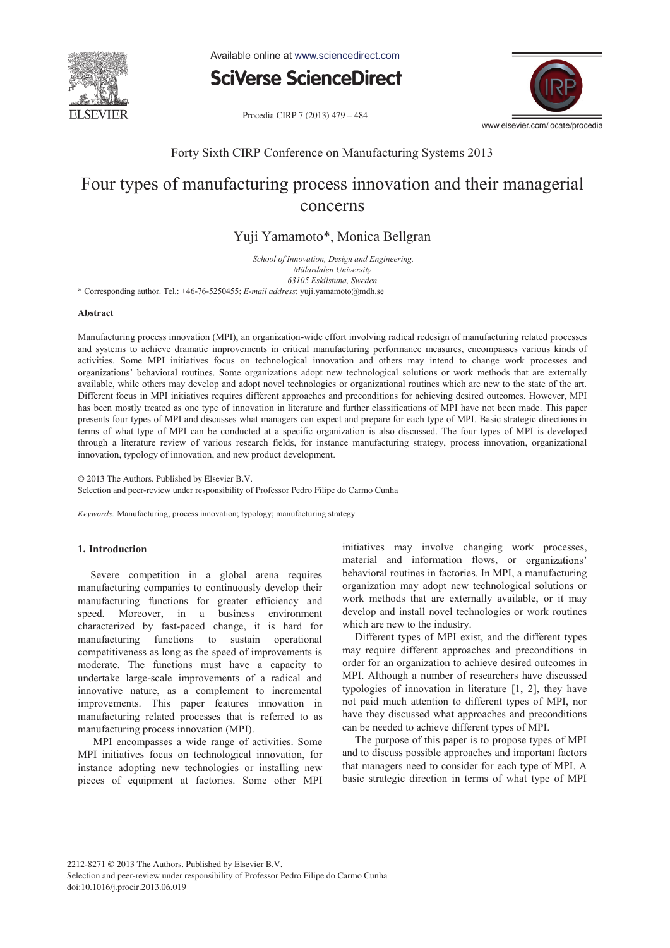

Available online at www.sciencedirect.com



Procedia CIRP 7 (2013) 479 - 484



### Forty Sixth CIRP Conference on Manufacturing Systems 2013

## Four types of manufacturing process innovation and their managerial concerns

### Yuji Yamamoto\*, Monica Bellgran

*School of Innovation, Design and Engineering, Mälardalen University 63105 Eskilstuna, Sweden* 

\* Corresponding author. Tel.: +46-76-5250455; *E-mail address*: yuji.yamamoto@mdh.se

#### **Abstract**

Manufacturing process innovation (MPI), an organization-wide effort involving radical redesign of manufacturing related processes and systems to achieve dramatic improvements in critical manufacturing performance measures, encompasses various kinds of activities. Some MPI initiatives focus on technological innovation and others may intend to change work processes and organizations' behavioral routines. Some organizations adopt new technological solutions or work methods that are externally available, while others may develop and adopt novel technologies or organizational routines which are new to the state of the art. Different focus in MPI initiatives requires different approaches and preconditions for achieving desired outcomes. However, MPI has been mostly treated as one type of innovation in literature and further classifications of MPI have not been made. This paper presents four types of MPI and discusses what managers can expect and prepare for each type of MPI. Basic strategic directions in terms of what type of MPI can be conducted at a specific organization is also discussed. The four types of MPI is developed through a literature review of various research fields, for instance manufacturing strategy, process innovation, organizational innovation, typology of innovation, and new product development.

© 2013 The Authors. Published by Elsevier B.V. © 2013 The Authors. Published by Elsevier B.V. Selection and peer-review under responsibility of Professor Pedro Filipe do Carmo Cunha

*Keywords:* Manufacturing; process innovation; typology; manufacturing strategy

#### **1. Introduction**

Severe competition in a global arena requires manufacturing companies to continuously develop their manufacturing functions for greater efficiency and speed. Moreover, in a business environment characterized by fast-paced change, it is hard for manufacturing functions to sustain operational competitiveness as long as the speed of improvements is moderate. The functions must have a capacity to undertake large-scale improvements of a radical and innovative nature, as a complement to incremental improvements. This paper features innovation in manufacturing related processes that is referred to as manufacturing process innovation (MPI).

 MPI encompasses a wide range of activities. Some MPI initiatives focus on technological innovation, for instance adopting new technologies or installing new pieces of equipment at factories. Some other MPI initiatives may involve changing work processes, material and information flows, or organizations' behavioral routines in factories. In MPI, a manufacturing organization may adopt new technological solutions or work methods that are externally available, or it may develop and install novel technologies or work routines which are new to the industry.

Different types of MPI exist, and the different types may require different approaches and preconditions in order for an organization to achieve desired outcomes in MPI. Although a number of researchers have discussed typologies of innovation in literature [1, 2], they have not paid much attention to different types of MPI, nor have they discussed what approaches and preconditions can be needed to achieve different types of MPI.

The purpose of this paper is to propose types of MPI and to discuss possible approaches and important factors that managers need to consider for each type of MPI. A basic strategic direction in terms of what type of MPI

2212-8271 © 2013 The Authors. Published by Elsevier B.V. Selection and peer-review under responsibility of Professor Pedro Filipe do Carmo Cunha doi: 10.1016/j.procir.2013.06.019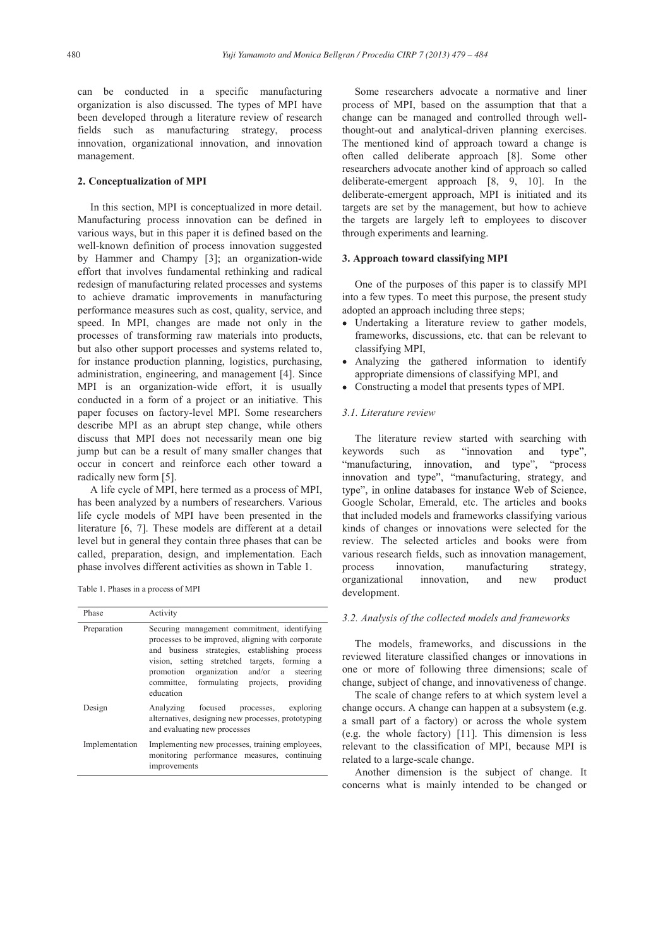can be conducted in a specific manufacturing organization is also discussed. The types of MPI have been developed through a literature review of research fields such as manufacturing strategy, process innovation, organizational innovation, and innovation management.

#### **2. Conceptualization of MPI**

In this section, MPI is conceptualized in more detail. Manufacturing process innovation can be defined in various ways, but in this paper it is defined based on the well-known definition of process innovation suggested by Hammer and Champy [3]; an organization-wide effort that involves fundamental rethinking and radical redesign of manufacturing related processes and systems to achieve dramatic improvements in manufacturing performance measures such as cost, quality, service, and speed. In MPI, changes are made not only in the processes of transforming raw materials into products, but also other support processes and systems related to, for instance production planning, logistics, purchasing, administration, engineering, and management [4]. Since MPI is an organization-wide effort, it is usually conducted in a form of a project or an initiative. This paper focuses on factory-level MPI. Some researchers describe MPI as an abrupt step change, while others discuss that MPI does not necessarily mean one big jump but can be a result of many smaller changes that occur in concert and reinforce each other toward a radically new form [5].

A life cycle of MPI, here termed as a process of MPI, has been analyzed by a numbers of researchers. Various life cycle models of MPI have been presented in the literature [6, 7]. These models are different at a detail level but in general they contain three phases that can be called, preparation, design, and implementation. Each phase involves different activities as shown in Table 1.

Table 1. Phases in a process of MPI

| Phase          | Activity                                                                                                                                                                                                                                                                                                          |
|----------------|-------------------------------------------------------------------------------------------------------------------------------------------------------------------------------------------------------------------------------------------------------------------------------------------------------------------|
| Preparation    | Securing management commitment, identifying<br>processes to be improved, aligning with corporate<br>and business strategies, establishing process<br>vision, setting stretched targets, forming a<br>promotion organization and/or a<br>steering<br>committee, formulating<br>projects,<br>providing<br>education |
| Design         | focused<br>Analyzing<br>exploring<br>processes.<br>alternatives, designing new processes, prototyping<br>and evaluating new processes                                                                                                                                                                             |
| Implementation | Implementing new processes, training employees,<br>monitoring performance measures, continuing<br>improvements                                                                                                                                                                                                    |

Some researchers advocate a normative and liner process of MPI, based on the assumption that that a change can be managed and controlled through wellthought-out and analytical-driven planning exercises. The mentioned kind of approach toward a change is often called deliberate approach [8]. Some other researchers advocate another kind of approach so called deliberate-emergent approach [8, 9, 10]. In the deliberate-emergent approach, MPI is initiated and its targets are set by the management, but how to achieve the targets are largely left to employees to discover through experiments and learning.

#### **3. Approach toward classifying MPI**

One of the purposes of this paper is to classify MPI into a few types. To meet this purpose, the present study adopted an approach including three steps;

- Undertaking a literature review to gather models, frameworks, discussions, etc. that can be relevant to classifying MPI,
- Analyzing the gathered information to identify appropriate dimensions of classifying MPI, and
- Constructing a model that presents types of MPI.

#### *3.1. Literature review*

The literature review started with searching with keywords such as "innovation and type". "manufacturing, innovation, and type", "process" innovation and type", "manufacturing, strategy, and type", in online databases for instance Web of Science. Google Scholar, Emerald, etc. The articles and books that included models and frameworks classifying various kinds of changes or innovations were selected for the review. The selected articles and books were from various research fields, such as innovation management, process innovation, manufacturing strategy, organizational innovation, and new product development.

#### *3.2. Analysis of the collected models and frameworks*

The models, frameworks, and discussions in the reviewed literature classified changes or innovations in one or more of following three dimensions; scale of change, subject of change, and innovativeness of change.

The scale of change refers to at which system level a change occurs. A change can happen at a subsystem (e.g. a small part of a factory) or across the whole system (e.g. the whole factory) [11]. This dimension is less relevant to the classification of MPI, because MPI is related to a large-scale change.

Another dimension is the subject of change. It concerns what is mainly intended to be changed or